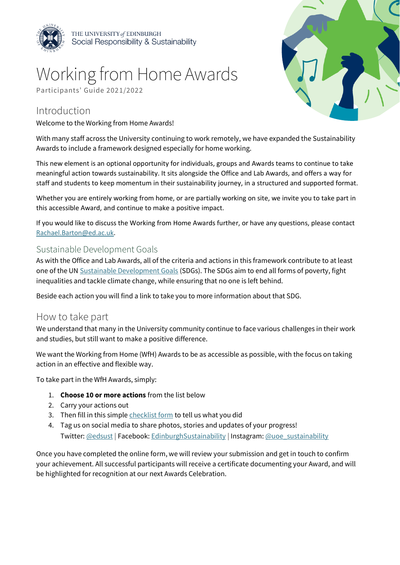

# Working from Home Awards

Participants' Guide 2021/2022

### Introduction

Welcome to the Working from Home Awards!



With many staff across the University continuing to work remotely, we have expanded the Sustainability Awards to include a framework designed especially for home working.

This new element is an optional opportunity for individuals, groups and Awards teams to continue to take meaningful action towards sustainability. It sits alongside the Office and Lab Awards, and offers a way for staff and students to keep momentum in their sustainability journey, in a structured and supported format.

Whether you are entirely working from home, or are partially working on site, we invite you to take part in this accessible Award, and continue to make a positive impact.

If you would like to discuss the Working from Home Awards further, or have any questions, please contact [Rachael.Barton@ed.ac.uk.](mailto:Rachael.Barton@ed.ac.uk)

#### Sustainable Development Goals

As with the Office and Lab Awards, all of the criteria and actions in this framework contribute to at least one of the UN [Sustainable Development Goals](https://sustainabledevelopment.un.org/sdgs) (SDGs). The SDGs aim to end all forms of poverty, fight inequalities and tackle climate change, while ensuring that no one is left behind.

Beside each action you will find a link to take you to more information about that SDG.

#### How to take part

We understand that many in the University community continue to face various challenges in their work and studies, but still want to make a positive difference.

We want the Working from Home (WfH) Awards to be as accessible as possible, with the focus on taking action in an effective and flexible way.

To take part in the WfH Awards, simply:

- 1. **Choose 10 or more actions** from the list below
- 2. Carry your actions out
- 3. Then fill in this simpl[e checklist form](https://edinburgh.onlinesurveys.ac.uk/working-from-home-awards-checklist) to tell us what you did
- 4. Tag us on social media to share photos, stories and updates of your progress! Twitter: [@edsust](https://www.twitter.com/edsust) | Facebook: [EdinburghSustainability](https://www.facebook.com/EdinburghSustainability) | Instagram: [@uoe\\_sustainability](https://www.instagram.com/uoe_sustainability)

Once you have completed the online form, we will review your submission and get in touch to confirm your achievement. All successful participants will receive a certificate documenting your Award, and will be highlighted for recognition at our next Awards Celebration.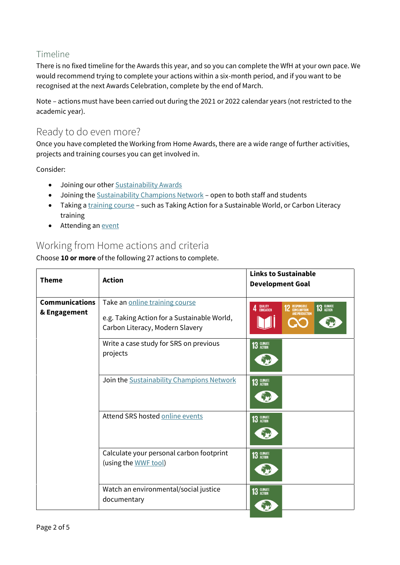#### Timeline

There is no fixed timeline for the Awards this year, and so you can complete the WfH at your own pace. We would recommend trying to complete your actions within a six-month period, and if you want to be recognised at the next Awards Celebration, complete by the end of March.

Note – actions must have been carried out during the 2021 or 2022 calendar years (not restricted to the academic year).

#### Ready to do even more?

Once you have completed the Working from Home Awards, there are a wide range of further activities, projects and training courses you can get involved in.

Consider:

- Joining our other [Sustainability](https://www.ed.ac.uk/sustainability/staff/be-part-of-the-sustainability-awards/enter-the-lab-awards) Awards
- Joining the [Sustainability Champions Network](https://www.ed.ac.uk/sustainability/staff/volunteer/staff-sustainability-champion) open to both staff and students
- Taking [a training course](https://www.ed.ac.uk/sustainability/staff/training) such as Taking Action for a Sustainable World, or Carbon Literacy training
- Attending a[n event](https://www.ed.ac.uk/sustainability/events)

## Working from Home actions and criteria

Choose **10 or more** of the following 27 actions to complete.

| <b>Theme</b>          | <b>Action</b>                                                                  | <b>Links to Sustainable</b><br><b>Development Goal</b>                            |
|-----------------------|--------------------------------------------------------------------------------|-----------------------------------------------------------------------------------|
| <b>Communications</b> | Take an online training course                                                 |                                                                                   |
| & Engagement          | e.g. Taking Action for a Sustainable World,<br>Carbon Literacy, Modern Slavery | QUALITY<br>Education<br>13 GLIMATE<br><b>2</b> RESPONSIBLE<br>Δ<br>AND PRODUCTION |
|                       | Write a case study for SRS on previous<br>projects                             | 13 GLIMATE                                                                        |
|                       | Join the Sustainability Champions Network                                      | 13 GLIMATE                                                                        |
|                       | Attend SRS hosted online events                                                | 13 GLIMATE                                                                        |
|                       | Calculate your personal carbon footprint<br>(using the WWF tool)               | 13 GLIMATE                                                                        |
|                       | Watch an environmental/social justice<br>documentary                           | 13 GLIMATE                                                                        |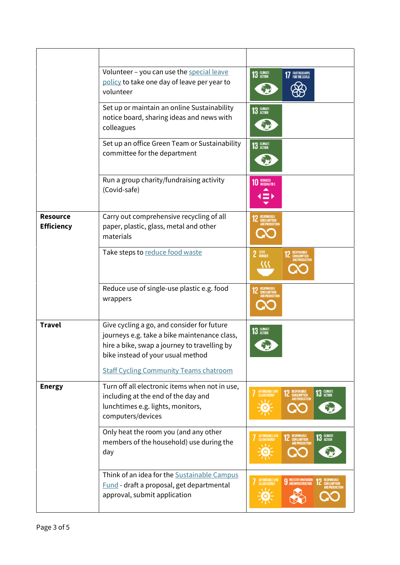|                                      | Volunteer - you can use the special leave<br>policy to take one day of leave per year to<br>volunteer                                                                                                                            | 13 GLIMATE<br><b>17</b> PARTNERSHIPS                                                           |
|--------------------------------------|----------------------------------------------------------------------------------------------------------------------------------------------------------------------------------------------------------------------------------|------------------------------------------------------------------------------------------------|
|                                      | Set up or maintain an online Sustainability<br>notice board, sharing ideas and news with<br>colleagues                                                                                                                           | 13 GLIMATE                                                                                     |
|                                      | Set up an office Green Team or Sustainability<br>committee for the department                                                                                                                                                    | 13 GLIMATE                                                                                     |
|                                      | Run a group charity/fundraising activity<br>(Covid-safe)                                                                                                                                                                         | REDUCED<br>INEQUALITIES                                                                        |
| <b>Resource</b><br><b>Efficiency</b> | Carry out comprehensive recycling of all<br>paper, plastic, glass, metal and other<br>materials                                                                                                                                  | IND PRODUCTIO                                                                                  |
|                                      | Take steps to reduce food waste                                                                                                                                                                                                  | 2 ZERO<br>RESPONSIBLE<br>Consumption<br>And production                                         |
|                                      | Reduce use of single-use plastic e.g. food<br>wrappers                                                                                                                                                                           |                                                                                                |
| <b>Travel</b>                        | Give cycling a go, and consider for future<br>journeys e.g. take a bike maintenance class,<br>hire a bike, swap a journey to travelling by<br>bike instead of your usual method<br><b>Staff Cycling Community Teams chatroom</b> | 13 GLIMATE                                                                                     |
| <b>Energy</b>                        | Turn off all electronic items when not in use,<br>including at the end of the day and<br>lunchtimes e.g. lights, monitors,<br>computers/devices                                                                                  | AFFORDABLE AND<br>CLEAN ENERGY<br>13 GLIMATE<br>RESPONSIBLE<br>Consumption<br>And Production   |
|                                      | Only heat the room you (and any other<br>members of the household) use during the<br>day                                                                                                                                         | AFFORDABLE AND<br>Clean Energy<br>2 RESPONSIBLE<br>CONSUMPTION<br>AND PRODUCTION<br>13 GLIMATE |
|                                      | Think of an idea for the Sustainable Campus<br>Fund - draft a proposal, get departmental<br>approval, submit application                                                                                                         | AFFORDABLE AND<br>CLEAN ENERGY<br><b>9</b> INDUSTRY, INNOVATION<br><b>IND PRODUCTION</b>       |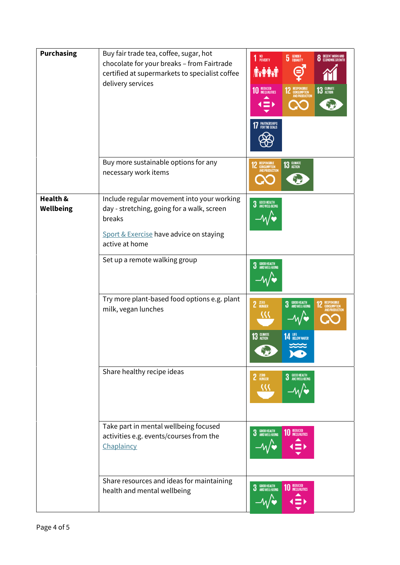| <b>Purchasing</b>            | Buy fair trade tea, coffee, sugar, hot<br>chocolate for your breaks - from Fairtrade<br>certified at supermarkets to specialist coffee<br>delivery services     | 1 NO<br>POVERTY<br>DECENT WORK AND<br>Economic Growth<br><b>5</b> GENDER<br><b>A.A.M</b><br><b>13 GLIMATE</b><br><b>10 REDUCED</b><br><b>2</b> RESPONSIBLE<br>CONSUMPTION<br>AND PRODUCTION<br>PARTNERSHIPS<br>For the goals |
|------------------------------|-----------------------------------------------------------------------------------------------------------------------------------------------------------------|------------------------------------------------------------------------------------------------------------------------------------------------------------------------------------------------------------------------------|
|                              | Buy more sustainable options for any<br>necessary work items                                                                                                    | 13 GLIMATE<br>RESPONSIBLE<br>Consumption<br>And Production                                                                                                                                                                   |
| Health &<br><b>Wellbeing</b> | Include regular movement into your working<br>day - stretching, going for a walk, screen<br>breaks<br>Sport & Exercise have advice on staying<br>active at home | <b>3</b> GOOD HEALTH<br><b>3</b> AND WELL-BEING                                                                                                                                                                              |
|                              | Set up a remote walking group                                                                                                                                   | <b>3</b> GOOD HEALTH<br><b>3</b> AND WELL-BEING                                                                                                                                                                              |
|                              | Try more plant-based food options e.g. plant<br>milk, vegan lunches                                                                                             | <b>3</b> GOOD HEALTH<br><b>3</b> AND WELL-BEING<br>$2$ $ERO$ HUNGER<br><b>RESPONSIBLE</b><br>13 GLIMATE<br><b>14 LIFE</b> BELOW WATER                                                                                        |
|                              | Share healthy recipe ideas                                                                                                                                      | <b>3</b> GOOD HEALTH<br><b>3</b> AND WELL-BEING<br>2 <b>ZERO</b> HUNGER                                                                                                                                                      |
|                              | Take part in mental wellbeing focused<br>activities e.g. events/courses from the<br>Chaplaincy                                                                  | <b>3</b> GOOD HEALTH<br><b>3</b> AND WELL-BEING<br><b>REDUCED</b><br><b>INEQUALITIES</b>                                                                                                                                     |
|                              | Share resources and ideas for maintaining<br>health and mental wellbeing                                                                                        | <b>3</b> GOOD HEALTH<br><b>3</b> AND WELL-BEING<br><b>10 REDUCED</b>                                                                                                                                                         |